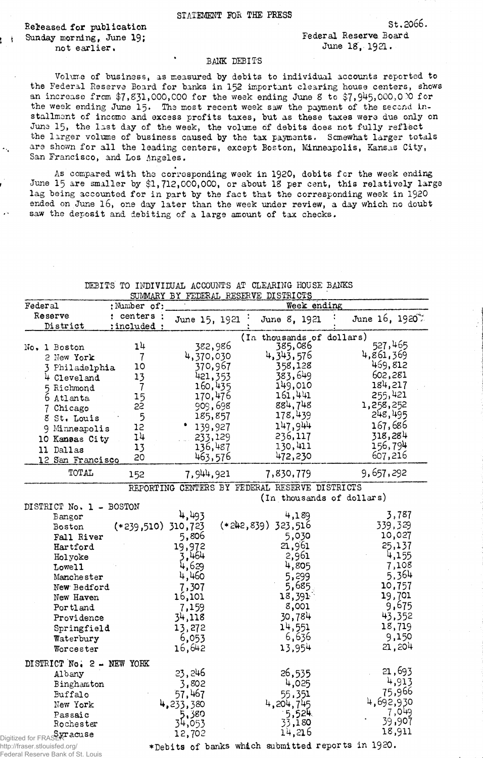Released for publication Sunday morning, June 19; not earlier,

r F

 $\overline{\mathcal{A}}_{\mathcal{A}}$ 

 $\mathbf{r}^{\star}$ 

St.2066.

## BANK DEBITS

Volume of business, as measured by debits to individual accounts reported to the Federal Reserve Board for banks in 152 important clearing house centers, shows an increase from  $$7,831,000,000$  for the week ending June 8 to  $$7,945,000,0.0$  for the week ending June 15. The most recent week saw the payment of the second installment of income and excess profits taxes, but as these taxes were due only on June 15, the last day of the week, the volume of debits does not fully reflect the larger volume of business caused by the tax payments. Somewhat larger totals are shown for all the leading centers, except Boston, Minneapolis, Kansas City, San Francisco, and Los Angeles.

As compared with the corresponding week in 1920, debits fcr the week ending June 15 are smaller by \$1,712,000,000, or about 18 per cent, this relatively large lag being accounted for in part by the fact that the corresponding week in 1920 ended on June 16, one day later than the week under review, a day which no doubt saw the deposit and debiting of a large amount of tax checks.

|                           | <b>OO MINISTLE</b>   |                                                |              | TUDDELLE DIDILLE OLD |                  |                           |           |                            |
|---------------------------|----------------------|------------------------------------------------|--------------|----------------------|------------------|---------------------------|-----------|----------------------------|
| Federal                   | : Number of:         |                                                |              |                      | Week ending      |                           |           |                            |
| Reserve                   | : centers :          | June 15, 1921                                  |              | June 8, 1921         |                  |                           |           | June 16, 1920 <sup>*</sup> |
| District                  | :included            |                                                |              |                      |                  |                           |           |                            |
|                           |                      |                                                |              |                      |                  | (In thousands of dollars) |           |                            |
| No. 1 Boston              | 14                   | 382,986                                        |              | 385,086              |                  |                           | 527,465   |                            |
| 2 New York                | 7                    | 4,370,030                                      |              | 4, 343, 576          |                  |                           | 4,861,369 |                            |
| 3 Philadelphia            | 10                   | 370,967                                        |              | 358,128              |                  |                           | 469,812   |                            |
|                           |                      | 421,353                                        |              | 383,649              |                  |                           | 602,281   |                            |
| 4 Cleveland               | 13<br>$\overline{7}$ | 160,435                                        |              | 149,010              |                  |                           | 184,217   |                            |
| 5 Richmond                |                      | 170,476                                        |              | 161,441              |                  |                           | 255,421   |                            |
| 6 Atlanta                 | 15<br>22             |                                                |              | 884,748              |                  |                           | 1,258,252 |                            |
| Chicago                   |                      | 909,698                                        |              | 178,439              |                  |                           | 248,495   |                            |
| 8 St. Louis               | 5                    | 185,857                                        |              |                      |                  |                           |           |                            |
| 9 Minneapolis             | 12                   | 139,927                                        |              | 147,944              |                  |                           | 167,686   |                            |
| 10 Kansas City            | 14                   | 233,129                                        |              | 236,117              |                  |                           | 318,284   |                            |
| 11 Dallas                 | 13                   | 136,487                                        |              | 130,411              |                  |                           | 156,794   |                            |
| 12 San Francisco          | 20                   | 463,576                                        |              | 472,230              |                  |                           | 607,216   |                            |
| TOTAL                     | 152                  | 7,944,921                                      |              | 7,830,779            |                  |                           | 9,657,292 |                            |
|                           |                      | REPORTING CENTERS BY FEDERAL RESERVE DISTRICTS |              |                      |                  |                           |           |                            |
|                           |                      |                                                |              |                      |                  | (In thousands of dollars) |           |                            |
| DISTRICT No. 1 - BOSTON   |                      |                                                |              |                      |                  |                           |           |                            |
| Bangor                    |                      | 4,493                                          |              |                      | 4,189            |                           |           | 3,787                      |
| Boston                    | $(*239,510)$         | 310,723                                        | $(*242,839)$ | 323,516              |                  |                           |           | 339,329                    |
| Fall River                |                      | 5,806                                          |              |                      | 5,030            |                           |           | 10,027                     |
| Hartford                  |                      | 19,972                                         |              | 21,961               |                  |                           |           | 25,137                     |
|                           |                      | 3,464                                          |              |                      | 2,961            |                           |           | 4,155                      |
| Holyoke                   |                      | 4,629                                          |              |                      | 4,805            |                           |           | 7,108                      |
| Lowell                    |                      |                                                |              |                      |                  |                           |           | 5,364                      |
| Manchester                |                      | 4,460                                          |              |                      | 5,299            |                           |           |                            |
| New Bedford               |                      | 7,307                                          |              |                      | 5,685.           |                           |           | 10,757                     |
| New Haven                 |                      | 16,101                                         |              | 18,391               |                  |                           |           | 19,701                     |
| Portland                  |                      | 7,159                                          |              |                      | 8,001            |                           |           | 9,675                      |
| Providence                |                      | 34,118                                         |              | 30,784               |                  |                           |           | 43,352                     |
| Springfield               |                      | 13,272                                         |              | 14,551               |                  |                           |           | 18,719                     |
| Waterbury                 |                      | 6,053                                          |              |                      | 6,636            |                           |           | 9,150                      |
| Worcester                 |                      | 16,642                                         |              | 13,954               |                  |                           |           | 21,204                     |
| DISTRICT No. 2 - NEW YORK |                      |                                                |              |                      |                  |                           |           |                            |
| Albany                    |                      | 23, 246                                        |              | 26,535               |                  |                           |           | 21,693                     |
| Binghamton                |                      | 3,802                                          |              |                      | 4,025            |                           |           | 4,913                      |
| Buffalo                   |                      | 57,467                                         |              | 55,351               |                  |                           |           | 75,966                     |
| New York                  |                      | 4,233,380                                      |              | 4,204,745            |                  |                           | 4,692,930 |                            |
|                           |                      |                                                |              |                      |                  |                           |           | 7,049                      |
| Passaic                   |                      | 5.380                                          |              |                      | 5,524.<br>33,180 |                           |           | 39,907                     |
| Rochester                 |                      | 34,053                                         |              | 14,216               |                  |                           |           | 18,911                     |
| d for FRASERT acuse       |                      | 12,702                                         |              |                      |                  |                           |           |                            |
|                           |                      |                                                |              |                      |                  | 2000                      |           |                            |

DEBITS' TO INDIVIDUAL ACCOUNTS AT CLEARING HOUSE BANKS SUMMARY BY FEDERAL RESERVE DISTRICTS

Digitized http://fraser.stlouisfed.org/ Federal Reserve Bank of St. Louis

♦Debits of banks which submitted reports in 1920.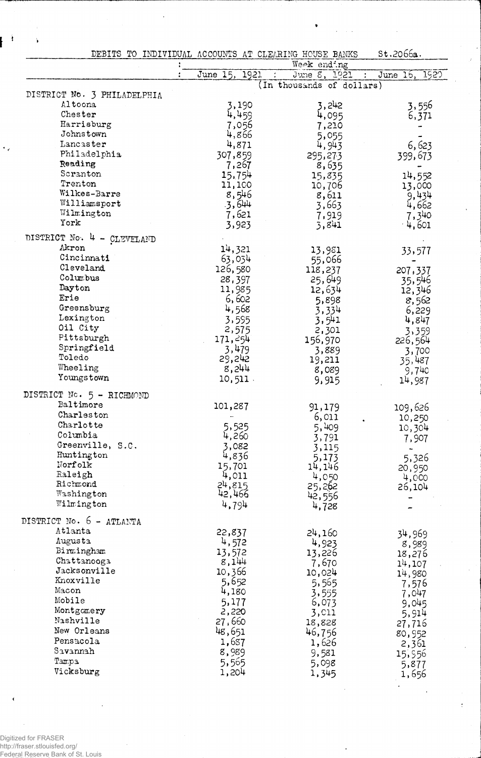|                                     | DEBITS TO INDIVIDUAL ACCOUNTS AT CLEARING HOUSE BANKS |                                           | st.2066a.       |
|-------------------------------------|-------------------------------------------------------|-------------------------------------------|-----------------|
|                                     |                                                       | Week ending                               |                 |
|                                     | June 15, 1921                                         | June 8, 1921<br>(In thousands of dollars) | June 16, 1920   |
| DISTRICT No. 3 PHILADELPHIA         |                                                       |                                           |                 |
| Altoona                             | 3,190                                                 | 3,242                                     | 3,556           |
| Chester                             | 4,459                                                 | 4,095                                     | 6,371           |
| Harrisburg                          | 7,056                                                 | 7,210                                     |                 |
| Johnstown                           | 4,866                                                 | 5,055                                     |                 |
| Lancaster                           | 4,871                                                 | 4,943                                     | 6,623           |
| Philadelphia                        | 307,859                                               | 295,273                                   | 399,673         |
| Reading                             | 7,267                                                 | 8,635                                     |                 |
| Scranton                            | 15,754                                                | 15,835                                    | 14,552          |
| Trenton                             | 11,100                                                | 10,706                                    | 13,000          |
| Wilkes-Barre                        | 8,546                                                 | 8,611                                     | 9,434           |
| Williamsport                        | .3,644                                                | 3,663                                     | 4,662           |
| Wilmington                          | 7,621                                                 | 7,919                                     | 7,340           |
| York                                | 3,923                                                 | 3,841                                     | 4,601           |
| DISTRICT No. 4 - CLEVELAND          |                                                       |                                           |                 |
| Akron                               | 14,321                                                | 13,981                                    | 33,577          |
| Cincinnati                          | 63,034                                                | 55,066                                    |                 |
| Cleveland                           | 126,580                                               | 118,237                                   | 207,337         |
| Columbus                            | 28,397                                                | 25,649                                    |                 |
| Dayton                              | 11,985                                                | 12,634                                    | 35,546          |
| Erie                                | 6,602                                                 | 5,898                                     | 12,346          |
| Greensburg                          | 4,568                                                 | 3,334                                     | 8,562           |
| Lexington                           | 3,595                                                 | 3,541                                     | 6,229           |
| Oil City                            | 2,575                                                 | 2,301                                     | 4,847           |
| Pittsburgh                          | 171, 254                                              | 156,970                                   | 3,359           |
| Springfield                         | 3,479                                                 |                                           | 226,564         |
| Toledo                              | 29,242                                                | 3,889                                     | 3,700           |
| Wheeling                            | 8,244                                                 | 19,211                                    | 35,487          |
| Youngstown                          | $10, 511$ .                                           | 8,089<br>9,915                            | 9,740<br>14,987 |
| DISTRICT No. 5 - RICHMOND           |                                                       |                                           |                 |
| Baltimore                           |                                                       |                                           |                 |
| Charleston                          | 101,287                                               | 91,179                                    | 109,626         |
| Charlotte                           |                                                       | 6,011                                     | 10,250          |
| Columbia                            | 5,525                                                 | 5,409                                     | 10,304          |
| Greenville, S.C.                    | 4,260                                                 | 3,791                                     | 7,907           |
|                                     | 3,082                                                 | 3,115                                     |                 |
| Huntington<br>Norfolk               | 4,836                                                 | 5,173                                     | 5,326           |
| Raleigh                             | 15,701                                                | 14,146                                    | 20,950          |
| Richmond                            | 4,011                                                 | 4,050                                     | 4,000           |
| Washington                          | 24,815<br>42,466                                      | 25,262                                    | 26,104          |
| Wilmington                          | 4,794                                                 | 42,556<br>4,728                           |                 |
|                                     |                                                       |                                           |                 |
| DISTRICT No. 6 - ATLANTA<br>Atlanta |                                                       |                                           |                 |
| Augusta                             | 22,837                                                | 24,160                                    | 34,969          |
| Birmingham                          | 4,572                                                 | 4,923                                     | 8,989           |
| Chattanooga                         | 13,572                                                | 13,226                                    | 18,276          |
| Jacksonville                        | 8,144                                                 | 7,670                                     | 14,107          |
| Knoxville                           | 10,366                                                | 10,024                                    | 14,980          |
| Macon                               | 5,652                                                 | 5,565                                     | 7,576           |
| Mobile                              | 4,180                                                 | 3,555                                     | 7,047           |
| Montgomery                          | 5,177                                                 | 6,073                                     | 9,045           |
| Nashville                           | 2,220                                                 | 3,011                                     | 5,914           |
|                                     | 27,660                                                | 18,828                                    | 27,716          |
| New Orleans                         | 48,651                                                | 46,756                                    | 80,952          |
| Pensacola                           | 1,637                                                 | 1,626                                     | 2,361           |
| Savannah                            | 8,989                                                 | 9,581                                     | 15,956          |
| Tampa                               | 5,565                                                 | 5,098                                     | 5,877           |
| Vicksburg                           | 1,204                                                 | 1,345                                     | 1,656           |

 $\bullet$ 

 $\ddot{\phantom{a}}$ 

Digitized for FRASER<br>http://fraser.stlouisfed.org/<br>Federal Reserve Bank of St. Louis

 $\hat{\epsilon}$ 

 $\hat{\textbf{v}}$ 

ł

 $\ddot{\phantom{0}}$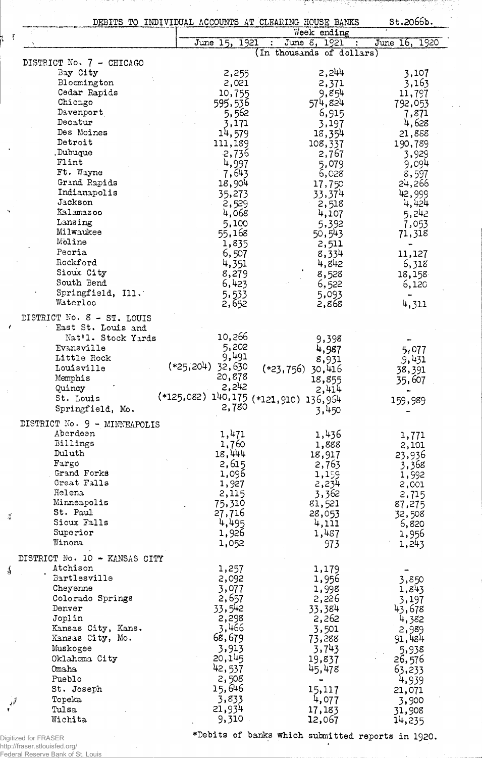| DEBITS TO INDIVIDUAL ACCOUNTS AT CLEARING HOUSE BANKS<br>Week ending |                                       |                           | St.2066b.     |
|----------------------------------------------------------------------|---------------------------------------|---------------------------|---------------|
|                                                                      | June 15, 1921                         | June 8, 1921              | June 16, 1920 |
|                                                                      |                                       | (In thousands of dollars) |               |
| DISTRICT No. 7 - CHICAGO                                             |                                       |                           |               |
| Bay City                                                             | 2,255                                 | 2,244                     | 3,107         |
| Bloomington                                                          | 2,021                                 | 2,371                     | $-3,163$      |
| Cedar Rapids                                                         | 10,755                                | 9,854                     | 11,797        |
| Chicago                                                              | 595,536                               | 574,824                   |               |
| Davenport                                                            |                                       |                           | 792,053       |
|                                                                      | 5,562                                 | 6,915                     | 7,871         |
| Decatur                                                              | 3,171                                 | 3,197                     | 4,628         |
| Des Moines                                                           | 14,579                                | 18,354                    | 21,888        |
| Detroit                                                              | 111,189                               | 108,337                   | 190,789       |
| Dubuque                                                              | 2,736                                 | 2,767                     | 3,929         |
| Flint                                                                | 4,997                                 | 5,079                     | 9,094         |
| Ft. Wayne                                                            | 7,643                                 | 6,028                     | 8,597         |
| Grand Rapids                                                         | 18,904                                | 17,750                    | 24,266        |
| Indianapolis                                                         | 35,273                                | 33,374                    | 42,999        |
| Jackson                                                              | 2,529                                 | 2,518                     | 4,424         |
| Kalamazoo                                                            |                                       |                           |               |
|                                                                      | 4,068                                 | 4,107                     | 5,242         |
| Lansing                                                              | 5,100                                 | 5,392                     | 7,053         |
| Milwaukee                                                            | 55,168                                | 50,543                    | 71,318        |
| Moline                                                               | 1,835                                 | 2,511                     |               |
| Peoria                                                               | 6,507                                 | 8,334                     | 11,127        |
| Rockford                                                             | 4,351                                 | 4,842                     | 6,318         |
| Sioux City                                                           | 8,279                                 | 8,528                     | 18,158        |
| South Bend                                                           | 6,423                                 | 6,522                     | 6,120         |
| Springfield, Ill.                                                    | 5,533                                 | 5,093                     |               |
| Waterloo                                                             | 2,652                                 | 2,868                     | 4,311         |
|                                                                      |                                       |                           |               |
| DISTRICT No. 8 - ST. LOUIS                                           |                                       |                           |               |
| East St. Louis and                                                   |                                       |                           |               |
| Nat'l. Stock Yards                                                   | 10,266                                | 9,398                     |               |
| Evansville                                                           | 5,202                                 | 4,987                     | 5,077         |
| Little Rock                                                          | 9,491                                 | 8,931                     |               |
| Louisville                                                           | $(*25,204)$ 32,630                    |                           | .9,431        |
| Memphis                                                              | 20,878                                | (*23,756)<br>30,416       | 38,391        |
|                                                                      | 2,242                                 | 18,855                    | 35,607        |
| Quincy                                                               |                                       | 2,414                     |               |
| St. Louis                                                            | (*125,082) 140,175 (*121,910) 136,954 |                           | 159,989       |
| Springfield, Mo.                                                     | 2,780                                 | 3,450                     |               |
| DISTRICT No. 9 - MINNEAPOLIS                                         |                                       |                           |               |
| Aberdeen                                                             | 1,471                                 | 1,436                     |               |
| Billings                                                             |                                       |                           | 1,771         |
|                                                                      | 1,760                                 | 1,888                     | 2,101         |
| Duluth                                                               | 18,444                                | 18,917                    | 23,936        |
| Fargo                                                                | 2,615                                 | 2,763                     | 3,368         |
| Grand Forks                                                          | 1,096                                 | 1,199                     | 1,992         |
| Great Falls                                                          | 1,927                                 | 2,234                     | 2,001         |
| Helena                                                               | 2,115                                 | 3,362                     | 2,715         |
| Minneapolis                                                          | 75,310                                | 81,521                    | 87,275        |
| St. Paul                                                             | 27,716                                | 28,053                    | 32,508        |
| Sioux Falls                                                          | 4,495                                 | 4,111                     | 6,820         |
| Superior                                                             | 1,926                                 | 1,487                     | 1,956         |
| Winona                                                               | 1,052                                 | 973                       | 1,243         |
|                                                                      |                                       |                           |               |
| DISTRICT No. 10 - KANSAS CITY                                        |                                       |                           |               |
| Atchison                                                             | 1,257                                 | 1,179                     |               |
| Bartlesville                                                         | 2,092                                 | 1,956                     | 3,850         |
| Cheyenne                                                             | 3,077                                 | 1,998                     | 1,843         |
| Colorado Springs                                                     | 2,657                                 | 2,226                     | 3,197         |
| Denver                                                               | 33,542                                | 33,384                    | 43,678        |
|                                                                      |                                       |                           |               |
| Joplin                                                               | 2,298                                 | 2,262                     | 4,382         |
| Kansas City, Kans.                                                   | 3,466                                 | 3,501                     | 2,989         |
| Kansas City, Mo.                                                     | 68,679                                | 73,288                    | 91,484        |
| Muskogee                                                             | 3,913                                 | 3,743                     | 5,938         |
| Oklahoma City                                                        | 20,145                                | 19,837                    | 26,576        |
| Omaha                                                                | 42,537                                | 45,478                    | 63,233        |
| Pueblo                                                               | 2,508                                 |                           |               |
| St. Joseph                                                           | 15,646                                |                           | 4,939         |
|                                                                      |                                       | 15,117                    | 21,071        |
| Topeka                                                               | 3,833                                 | 4,077                     | 3,900         |
| Tulsa                                                                | 21,934                                | 17,183                    | 31,908        |
| Wichita                                                              | 9,310                                 | 12,067                    | 14,235        |

Digitized for FRASER<br>http://fraser.stlouisfed.org/<br>Federal Reserve Bank of St. Louis

\*Debits of banks which submitted reports in 1920.  $\bullet$ 

he has to come the said of the first state shows and some second states

<u>e de la dale</u> l'estadore del